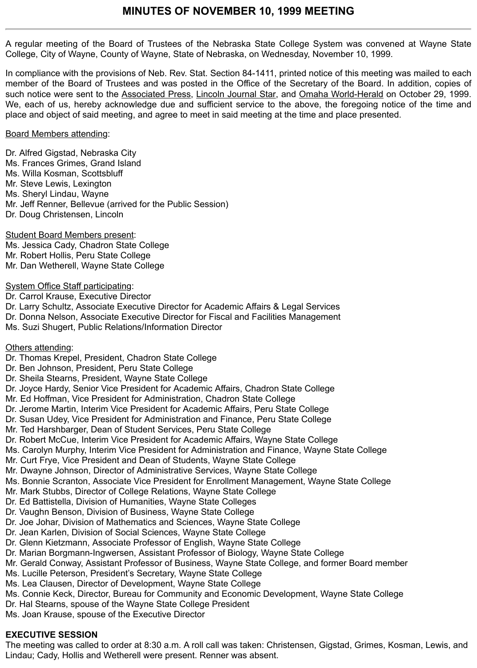A regular meeting of the Board of Trustees of the Nebraska State College System was convened at Wayne State College, City of Wayne, County of Wayne, State of Nebraska, on Wednesday, November 10, 1999.

In compliance with the provisions of Neb. Rev. Stat. Section 84-1411, printed notice of this meeting was mailed to each member of the Board of Trustees and was posted in the Office of the Secretary of the Board. In addition, copies of such notice were sent to the Associated Press, Lincoln Journal Star, and Omaha World-Herald on October 29, 1999. We, each of us, hereby acknowledge due and sufficient service to the above, the foregoing notice of the time and place and object of said meeting, and agree to meet in said meeting at the time and place presented.

### Board Members attending:

Dr. Alfred Gigstad, Nebraska City Ms. Frances Grimes, Grand Island Ms. Willa Kosman, Scottsbluff Mr. Steve Lewis, Lexington Ms. Sheryl Lindau, Wayne Mr. Jeff Renner, Bellevue (arrived for the Public Session) Dr. Doug Christensen, Lincoln

Student Board Members present: Ms. Jessica Cady, Chadron State College Mr. Robert Hollis, Peru State College Mr. Dan Wetherell, Wayne State College

### System Office Staff participating:

Dr. Carrol Krause, Executive Director Dr. Larry Schultz, Associate Executive Director for Academic Affairs & Legal Services Dr. Donna Nelson, Associate Executive Director for Fiscal and Facilities Management Ms. Suzi Shugert, Public Relations/Information Director

### Others attending:

- Dr. Thomas Krepel, President, Chadron State College
- Dr. Ben Johnson, President, Peru State College
- Dr. Sheila Stearns, President, Wayne State College
- Dr. Joyce Hardy, Senior Vice President for Academic Affairs, Chadron State College
- Mr. Ed Hoffman, Vice President for Administration, Chadron State College
- Dr. Jerome Martin, Interim Vice President for Academic Affairs, Peru State College
- Dr. Susan Udey, Vice President for Administration and Finance, Peru State College
- Mr. Ted Harshbarger, Dean of Student Services, Peru State College
- Dr. Robert McCue, Interim Vice President for Academic Affairs, Wayne State College
- Ms. Carolyn Murphy, Interim Vice President for Administration and Finance, Wayne State College
- Mr. Curt Frye, Vice President and Dean of Students, Wayne State College
- Mr. Dwayne Johnson, Director of Administrative Services, Wayne State College
- Ms. Bonnie Scranton, Associate Vice President for Enrollment Management, Wayne State College
- Mr. Mark Stubbs, Director of College Relations, Wayne State College
- Dr. Ed Battistella, Division of Humanities, Wayne State Colleges
- Dr. Vaughn Benson, Division of Business, Wayne State College
- Dr. Joe Johar, Division of Mathematics and Sciences, Wayne State College
- Dr. Jean Karlen, Division of Social Sciences, Wayne State College
- Dr. Glenn Kietzmann, Associate Professor of English, Wayne State College
- Dr. Marian Borgmann-Ingwersen, Assistant Professor of Biology, Wayne State College
- Mr. Gerald Conway, Assistant Professor of Business, Wayne State College, and former Board member
- Ms. Lucille Peterson, President's Secretary, Wayne State College
- Ms. Lea Clausen, Director of Development, Wayne State College
- Ms. Connie Keck, Director, Bureau for Community and Economic Development, Wayne State College
- Dr. Hal Stearns, spouse of the Wayne State College President
- Ms. Joan Krause, spouse of the Executive Director

### **EXECUTIVE SESSION**

The meeting was called to order at 8:30 a.m. A roll call was taken: Christensen, Gigstad, Grimes, Kosman, Lewis, and Lindau; Cady, Hollis and Wetherell were present. Renner was absent.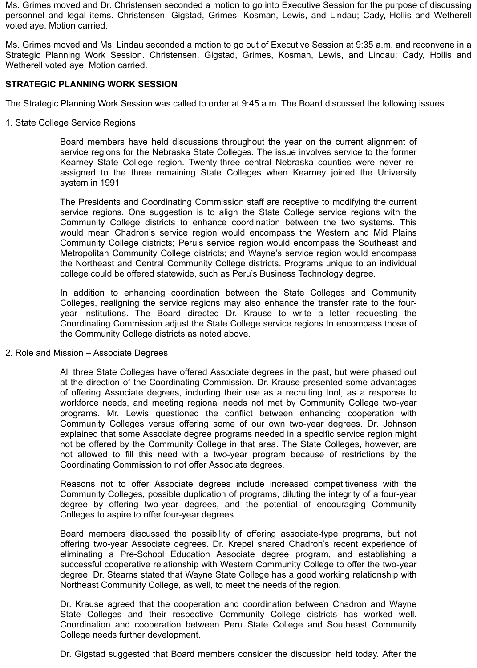Ms. Grimes moved and Dr. Christensen seconded a motion to go into Executive Session for the purpose of discussing personnel and legal items. Christensen, Gigstad, Grimes, Kosman, Lewis, and Lindau; Cady, Hollis and Wetherell voted aye. Motion carried.

Ms. Grimes moved and Ms. Lindau seconded a motion to go out of Executive Session at 9:35 a.m. and reconvene in a Strategic Planning Work Session. Christensen, Gigstad, Grimes, Kosman, Lewis, and Lindau; Cady, Hollis and Wetherell voted aye. Motion carried.

### **STRATEGIC PLANNING WORK SESSION**

The Strategic Planning Work Session was called to order at 9:45 a.m. The Board discussed the following issues.

1. State College Service Regions

Board members have held discussions throughout the year on the current alignment of service regions for the Nebraska State Colleges. The issue involves service to the former Kearney State College region. Twenty-three central Nebraska counties were never reassigned to the three remaining State Colleges when Kearney joined the University system in 1991.

The Presidents and Coordinating Commission staff are receptive to modifying the current service regions. One suggestion is to align the State College service regions with the Community College districts to enhance coordination between the two systems. This would mean Chadron's service region would encompass the Western and Mid Plains Community College districts; Peru's service region would encompass the Southeast and Metropolitan Community College districts; and Wayne's service region would encompass the Northeast and Central Community College districts. Programs unique to an individual college could be offered statewide, such as Peru's Business Technology degree.

In addition to enhancing coordination between the State Colleges and Community Colleges, realigning the service regions may also enhance the transfer rate to the fouryear institutions. The Board directed Dr. Krause to write a letter requesting the Coordinating Commission adjust the State College service regions to encompass those of the Community College districts as noted above.

2. Role and Mission – Associate Degrees

All three State Colleges have offered Associate degrees in the past, but were phased out at the direction of the Coordinating Commission. Dr. Krause presented some advantages of offering Associate degrees, including their use as a recruiting tool, as a response to workforce needs, and meeting regional needs not met by Community College two-year programs. Mr. Lewis questioned the conflict between enhancing cooperation with Community Colleges versus offering some of our own two-year degrees. Dr. Johnson explained that some Associate degree programs needed in a specific service region might not be offered by the Community College in that area. The State Colleges, however, are not allowed to fill this need with a two-year program because of restrictions by the Coordinating Commission to not offer Associate degrees.

Reasons not to offer Associate degrees include increased competitiveness with the Community Colleges, possible duplication of programs, diluting the integrity of a four-year degree by offering two-year degrees, and the potential of encouraging Community Colleges to aspire to offer four-year degrees.

Board members discussed the possibility of offering associate-type programs, but not offering two-year Associate degrees. Dr. Krepel shared Chadron's recent experience of eliminating a Pre-School Education Associate degree program, and establishing a successful cooperative relationship with Western Community College to offer the two-year degree. Dr. Stearns stated that Wayne State College has a good working relationship with Northeast Community College, as well, to meet the needs of the region.

Dr. Krause agreed that the cooperation and coordination between Chadron and Wayne State Colleges and their respective Community College districts has worked well. Coordination and cooperation between Peru State College and Southeast Community College needs further development.

Dr. Gigstad suggested that Board members consider the discussion held today. After the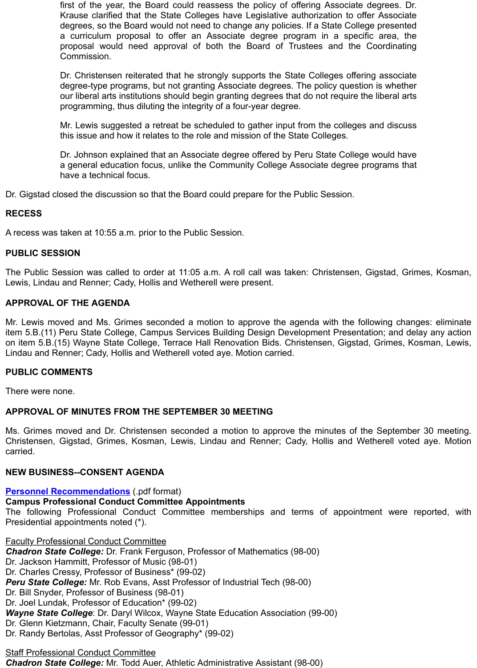Mr. Lewis suggested a retreat be scheduled to gather input from the colleges and discuss this issue and how it relates to the role and mission of the State Colleges.

Dr. Johnson explained that an Associate degree offered by Peru State College would have a general education focus, unlike the Community College Associate degree programs that have a technical focus.

Dr. Gigstad closed the discussion so that the Board could prepare for the Public Session.

# **RECESS**

A recess was taken at 10:55 a.m. prior to the Public Session.

### **PUBLIC SESSION**

The Public Session was called to order at 11:05 a.m. A roll call was taken: Christensen, Gigstad, Grin Lewis, Lindau and Renner; Cady, Hollis and Wetherell were present.

### **APPROVAL OF THE AGENDA**

Mr. Lewis moved and Ms. Grimes seconded a motion to approve the agenda with the following change item 5.B.(11) Peru State College, Campus Services Building Design Development Presentation; and del on item 5.B.(15) Wayne State College, Terrace Hall Renovation Bids. Christensen, Gigstad, Grimes, Ko Lindau and Renner; Cady, Hollis and Wetherell voted aye. Motion carried.

### **PUBLIC COMMENTS**

There were none.

### **APPROVAL OF MINUTES FROM THE SEPTEMBER 30 MEETING**

Ms. Grimes moved and Dr. Christensen seconded a motion to approve the minutes of the Septembe Christensen, Gigstad, Grimes, Kosman, Lewis, Lindau and Renner; Cady, Hollis and Wetherell voted carried.

### **NEW BUSINESS--CONSENT AGENDA**

### **Personnel Recommendations** (.pdf format)

### **Campus Professional Conduct Committee Appointments**

The following Professional Conduct Committee memberships and terms of appointment were reported. Presidential appointments noted (\*).

Faculty Professional Conduct Committee *Chadron State College:* Dr. Frank Ferguson, Professor of Mathematics (98-00) Dr. Jackson Hammitt, Professor of Music (98-01) Dr. Charles Cressy, Professor of Business\* (99-02) *Peru State College:* Mr. Rob Evans, Asst Professor of Industrial Tech (98-00) Dr. Bill Snyder, Professor of Business (98-01) Dr. Joel Lundak, Professor of Education\* (99-02) *Wayne State College*: Dr. Daryl Wilcox, Wayne State Education Association (99-00) [Dr. Glenn Kietzmann, Chair, Fac](http://www.nscs.edu/minutes/November%2010%20Meeting/5A01Personnel.pdf)ulty Senate (99-01) Dr. Randy Bertolas, Asst Professor of Geography\* (99-02)

# Staff Professional Conduct Committee

*Chadron State College:* Mr. Todd Auer, Athletic Administrative Assistant (98-00)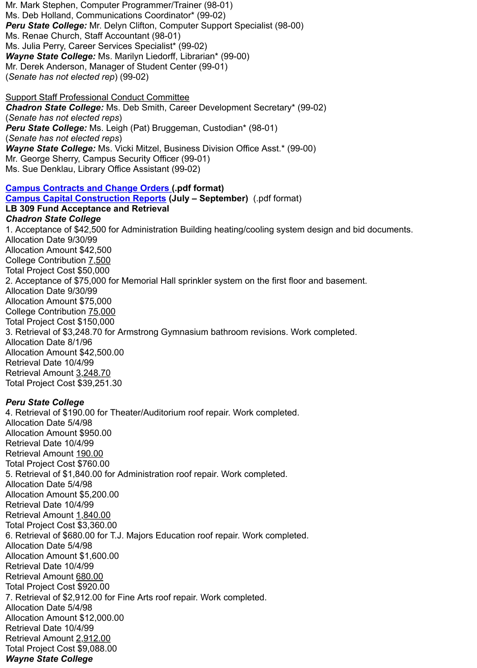*Peru State College:* Ms. Leigh (Pat) Bruggeman, Custodian\* (98-01) (*Senate has not elected reps*) *Wayne State College:* Ms. Vicki Mitzel, Business Division Office Asst.\* (99-00) Mr. George Sherry, Campus Security Officer (99-01) Ms. Sue Denklau, Library Office Assistant (99-02)

**Campus Contracts and Change Orders (.pdf format) Campus Capital Construction Reports (July – September)** (.pdf format) **LB 309 Fund Acceptance and Retrieval** *Chadron State College* 1. Acceptance of \$42,500 for Administration Building heating/cooling system design and bid documents. Allocation Date 9/30/99 Allocation Amount \$42,500 College Contribution 7,500 Total Project Cost \$50,000 2. Acceptance of \$75,000 for Memorial Hall sprinkler system on the first floor and basement. Allocation Date 9/30/99 Allocation Amount \$75,000 [College Contribution 75,000](http://www.nscs.edu/minutes/November%2010%20Meeting/5A03Contracts.pdf) [Total Project Cost \\$150,000](http://www.nscs.edu/minutes/November%2010%20Meeting/5A04Capital.pdf) 3. Retrieval of \$3,248.70 for Armstrong Gymnasium bathroom revisions. Work completed. Allocation Date 8/1/96 Allocation Amount \$42,500.00 Retrieval Date 10/4/99 Retrieval Amount 3,248.70 Total Project Cost \$39,251.30

## *Peru State College*

4. Retrieval of \$190.00 for Theater/Auditorium roof repair. Work completed. Allocation Date 5/4/98 Allocation Amount \$950.00 Retrieval Date 10/4/99 Retrieval Amount 190.00 Total Project Cost \$760.00 5. Retrieval of \$1,840.00 for Administration roof repair. Work completed. Allocation Date 5/4/98 Allocation Amount \$5,200.00 Retrieval Date 10/4/99 Retrieval Amount 1,840.00 Total Project Cost \$3,360.00 6. Retrieval of \$680.00 for T.J. Majors Education roof repair. Work completed. Allocation Date 5/4/98 Allocation Amount \$1,600.00 Retrieval Date 10/4/99 Retrieval Amount 680.00 Total Project Cost \$920.00 7. Retrieval of \$2,912.00 for Fine Arts roof repair. Work completed. Allocation Date 5/4/98 Allocation Amount \$12,000.00 Retrieval Date 10/4/99 Retrieval Amount 2,912.00 Total Project Cost \$9,088.00 *Wayne State College*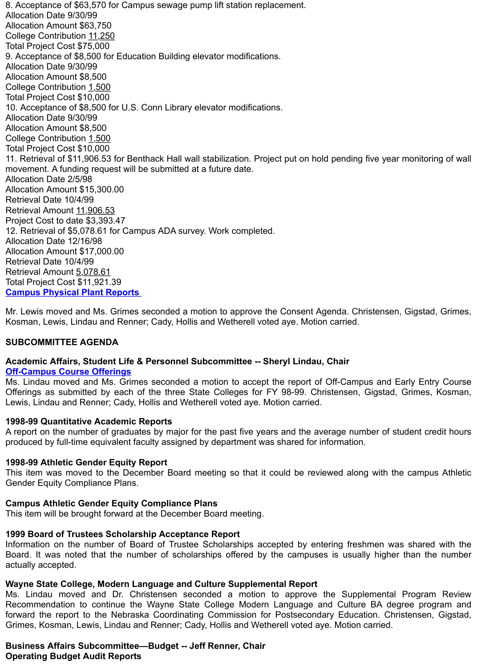Allocation Amount \$8,500 College Contribution 1,500 Total Project Cost \$10,000 11. Retrieval of \$11,906.53 for Benthack Hall wall stabilization. Project put on hold pending five year mor movement. A funding request will be submitted at a future date. Allocation Date 2/5/98 Allocation Amount \$15,300.00 Retrieval Date 10/4/99 Retrieval Amount 11,906.53 Project Cost to date \$3,393.47 12. Retrieval of \$5,078.61 for Campus ADA survey. Work completed. Allocation Date 12/16/98 Allocation Amount \$17,000.00 Retrieval Date 10/4/99 Retrieval Amount 5,078.61 Total Project Cost \$11,921.39 **Campus Physical Plant Reports** 

Mr. Lewis moved and Ms. Grimes seconded a motion to approve the Consent Agenda. Christensen, Gig Kosman, Lewis, Lindau and Renner; Cady, Hollis and Wetherell voted aye. Motion carried.

### **SUBCOMMITTEE AGENDA**

### **Academic Affairs, Student Life & Personnel Subcommittee -- Sheryl Lindau, Chair Off-Campus Course Offerings**

Ms. Lindau moved and Ms. Grimes seconded a motion to accept the report of Off-Campus and Early Offerings as submitted by each of the three State Colleges for FY 98-99. Christensen, Gigstad, Grin Lewis, Lindau and Renner; Cady, Hollis and Wetherell voted aye. Motion carried.

### **[1998-99 Quantitative Academic R](http://www.nscs.edu/minutes/November%2010%20Meeting/5A06Physical%20Plant.pdf)eports**

A report on the number of graduates by major for the past five years and the average number of studer produced by full-time equivalent faculty assigned by department was shared for information.

### **1998-99 Athletic Gender Equity Report**

This item was moved to the December Board meeting so that it could be reviewed along with the can Gender Equity Compliance Plans.

### **[Campus Athletic Gender Equit](http://www.nscs.edu/minutes/November%2010%20Meeting/5B01Off%20Campus%20Report.pdf)y Compliance Plans**

This item will be brought forward at the December Board meeting.

# **1999 Board of Trustees Scholarship Acceptance Report**

Information on the number of Board of Trustee Scholarships accepted by entering freshmen was shared with the with the shared with the with the with the with the with the with the with the with the with the with the with th Board. It was noted that the number of scholarships offered by the campuses is usually higher than actually accepted.

### **Wayne State College, Modern Language and Culture Supplemental Report**

Ms. Lindau moved and Dr. Christensen seconded a motion to approve the Supplemental Prog Recommendation to continue the Wayne State College Modern Language and Culture BA degree forward the report to the Nebraska Coordinating Commission for Postsecondary Education. Christen Grimes, Kosman, Lewis, Lindau and Renner; Cady, Hollis and Wetherell voted aye. Motion carried.

#### **Business Affairs Subcommittee—Budget -- Jeff Renner, Chair Operating Budget Audit Reports**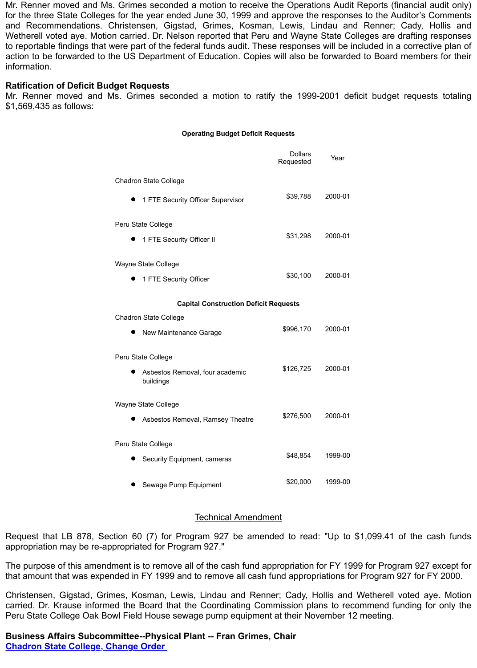#### **Operating Budget Deficit Requests**

|                                              | Dollars<br>Requested | Year    |
|----------------------------------------------|----------------------|---------|
| <b>Chadron State College</b>                 |                      |         |
| 1 FTE Security Officer Supervisor            | \$39,788             | 2000-01 |
| Peru State College                           |                      |         |
| 1 FTE Security Officer II                    | \$31,298             | 2000-01 |
| Wayne State College                          |                      |         |
| 1 FTE Security Officer                       | \$30,100             | 2000-01 |
| <b>Capital Construction Deficit Requests</b> |                      |         |
| <b>Chadron State College</b>                 |                      |         |
| New Maintenance Garage                       | \$996,170            | 2000-01 |
| Peru State College                           |                      |         |
| Asbestos Removal, four academic<br>buildings | \$126,725            | 2000-01 |
| Wayne State College                          |                      |         |
| Asbestos Removal, Ramsey Theatre             | \$276,500            | 2000-01 |
| Peru State College                           |                      |         |
| Security Equipment, cameras                  | \$48,854             | 1999-00 |
| Sewage Pump Equipment                        | \$20,000             | 1999-00 |

#### Technical Amendment

Request that LB 878, Section 60 (7) for Program 927 be amended to read: "Up to \$1,099.41 of the appropriation may be re-appropriated for Program 927."

The purpose of this amendment is to remove all of the cash fund appropriation for FY 1999 for Program 9 that amount that was expended in FY 1999 and to remove all cash fund appropriations for Program 927 for

Christensen, Gigstad, Grimes, Kosman, Lewis, Lindau and Renner; Cady, Hollis and Wetherell voted carried. Dr. Krause informed the Board that the Coordinating Commission plans to recommend funding Peru State College Oak Bowl Field House sewage pump equipment at their November 12 meeting.

### **Business Affairs Subcommittee--Physical Plant -- Fran Grimes, Chair Chadron State College, Change Order**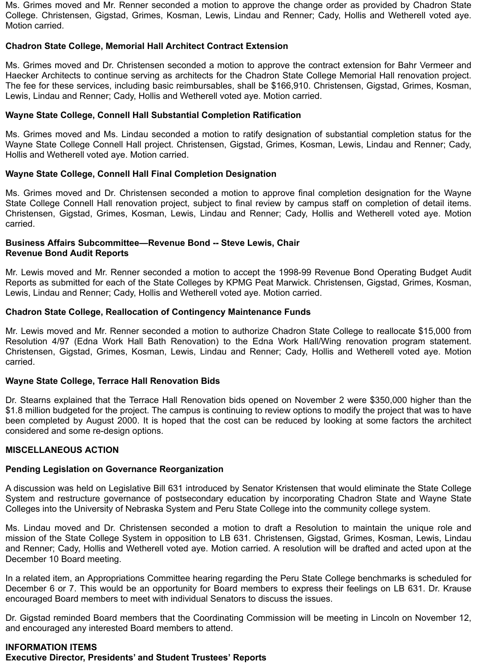Ms. Grimes moved and Mr. Renner seconded a motion to approve the change order as provided by Chadron State College. Christensen, Gigstad, Grimes, Kosman, Lewis, Lindau and Renner; Cady, Hollis and Wetherell voted aye. Motion carried.

### **Chadron State College, Memorial Hall Architect Contract Extension**

Ms. Grimes moved and Dr. Christensen seconded a motion to approve the contract extension for Bahr Vermeer and Haecker Architects to continue serving as architects for the Chadron State College Memorial Hall renovation project. The fee for these services, including basic reimbursables, shall be \$166,910. Christensen, Gigstad, Grimes, Kosman, Lewis, Lindau and Renner; Cady, Hollis and Wetherell voted aye. Motion carried.

### **Wayne State College, Connell Hall Substantial Completion Ratification**

Ms. Grimes moved and Ms. Lindau seconded a motion to ratify designation of substantial completion status for the Wayne State College Connell Hall project. Christensen, Gigstad, Grimes, Kosman, Lewis, Lindau and Renner; Cady, Hollis and Wetherell voted aye. Motion carried.

### **Wayne State College, Connell Hall Final Completion Designation**

Ms. Grimes moved and Dr. Christensen seconded a motion to approve final completion designation for the Wayne State College Connell Hall renovation project, subject to final review by campus staff on completion of detail items. Christensen, Gigstad, Grimes, Kosman, Lewis, Lindau and Renner; Cady, Hollis and Wetherell voted aye. Motion carried.

### **Business Affairs Subcommittee—Revenue Bond -- Steve Lewis, Chair Revenue Bond Audit Reports**

Mr. Lewis moved and Mr. Renner seconded a motion to accept the 1998-99 Revenue Bond Operating Budget Audit Reports as submitted for each of the State Colleges by KPMG Peat Marwick. Christensen, Gigstad, Grimes, Kosman, Lewis, Lindau and Renner; Cady, Hollis and Wetherell voted aye. Motion carried.

### **Chadron State College, Reallocation of Contingency Maintenance Funds**

Mr. Lewis moved and Mr. Renner seconded a motion to authorize Chadron State College to reallocate \$15,000 from Resolution 4/97 (Edna Work Hall Bath Renovation) to the Edna Work Hall/Wing renovation program statement. Christensen, Gigstad, Grimes, Kosman, Lewis, Lindau and Renner; Cady, Hollis and Wetherell voted aye. Motion carried.

#### **Wayne State College, Terrace Hall Renovation Bids**

Dr. Stearns explained that the Terrace Hall Renovation bids opened on November 2 were \$350,000 higher than the \$1.8 million budgeted for the project. The campus is continuing to review options to modify the project that was to have been completed by August 2000. It is hoped that the cost can be reduced by looking at some factors the architect considered and some re-design options.

### **MISCELLANEOUS ACTION**

# **Pending Legislation on Governance Reorganization**

A discussion was held on Legislative Bill 631 introduced by Senator Kristensen that would eliminate the State College System and restructure governance of postsecondary education by incorporating Chadron State and Wayne State Colleges into the University of Nebraska System and Peru State College into the community college system.

Ms. Lindau moved and Dr. Christensen seconded a motion to draft a Resolution to maintain the unique role and mission of the State College System in opposition to LB 631. Christensen, Gigstad, Grimes, Kosman, Lewis, Lindau and Renner; Cady, Hollis and Wetherell voted aye. Motion carried. A resolution will be drafted and acted upon at the December 10 Board meeting.

In a related item, an Appropriations Committee hearing regarding the Peru State College benchmarks is scheduled for December 6 or 7. This would be an opportunity for Board members to express their feelings on LB 631. Dr. Krause encouraged Board members to meet with individual Senators to discuss the issues.

Dr. Gigstad reminded Board members that the Coordinating Commission will be meeting in Lincoln on November 12, and encouraged any interested Board members to attend.

# **INFORMATION ITEMS**

**Executive Director, Presidents' and Student Trustees' Reports**